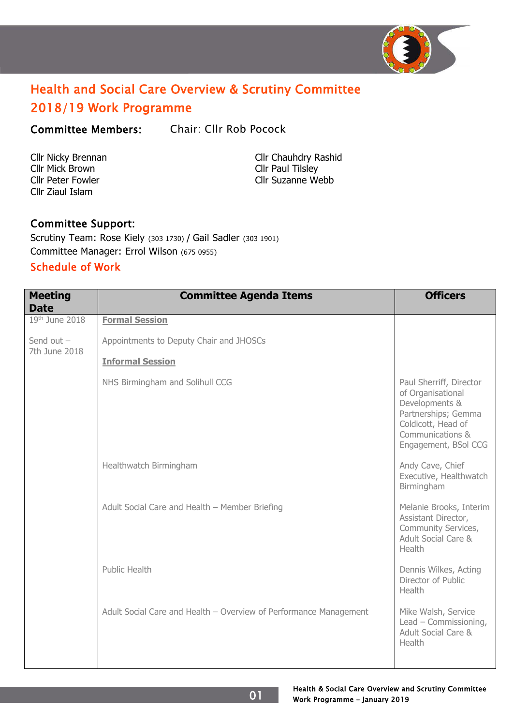

# Health and Social Care Overview & Scrutiny Committee 2018/19 Work Programme

Committee Members: Chair: Cllr Rob Pocock

Cllr Mick Brown Cllr Paul Tilsley Cllr Ziaul Islam

Cllr Nicky Brennan Cllr Chauhdry Rashid Cllr Peter Fowler Cllr Suzanne Webb

# Committee Support:

Scrutiny Team: Rose Kiely (303 1730) / Gail Sadler (303 1901) Committee Manager: Errol Wilson (675 0955)

# Schedule of Work

| <b>Meeting</b><br><b>Date</b> | <b>Committee Agenda Items</b>                                     | <b>Officers</b>                                                                                                                                         |
|-------------------------------|-------------------------------------------------------------------|---------------------------------------------------------------------------------------------------------------------------------------------------------|
| 19th June 2018                | <b>Formal Session</b>                                             |                                                                                                                                                         |
| Send out $-$<br>7th June 2018 | Appointments to Deputy Chair and JHOSCs                           |                                                                                                                                                         |
|                               | <b>Informal Session</b>                                           |                                                                                                                                                         |
|                               | NHS Birmingham and Solihull CCG                                   | Paul Sherriff, Director<br>of Organisational<br>Developments &<br>Partnerships; Gemma<br>Coldicott, Head of<br>Communications &<br>Engagement, BSol CCG |
|                               | Healthwatch Birmingham                                            | Andy Cave, Chief<br>Executive, Healthwatch<br>Birmingham                                                                                                |
|                               | Adult Social Care and Health - Member Briefing                    | Melanie Brooks, Interim<br>Assistant Director,<br>Community Services,<br>Adult Social Care &<br>Health                                                  |
|                               | Public Health                                                     | Dennis Wilkes, Acting<br>Director of Public<br>Health                                                                                                   |
|                               | Adult Social Care and Health - Overview of Performance Management | Mike Walsh, Service<br>Lead - Commissioning,<br>Adult Social Care &<br>Health                                                                           |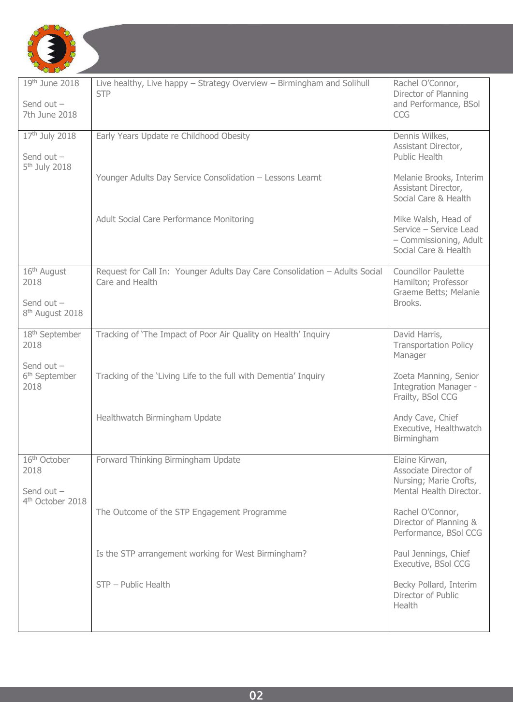

| 19th June 2018<br>Send out $-$<br>7th June 2018                      | Live healthy, Live happy - Strategy Overview - Birmingham and Solihull<br><b>STP</b>          | Rachel O'Connor,<br>Director of Planning<br>and Performance, BSol<br><b>CCG</b>                 |
|----------------------------------------------------------------------|-----------------------------------------------------------------------------------------------|-------------------------------------------------------------------------------------------------|
| 17th July 2018<br>Send out $-$                                       | Early Years Update re Childhood Obesity                                                       | Dennis Wilkes,<br>Assistant Director,<br>Public Health                                          |
| 5 <sup>th</sup> July 2018                                            | Younger Adults Day Service Consolidation - Lessons Learnt                                     | Melanie Brooks, Interim<br>Assistant Director,<br>Social Care & Health                          |
|                                                                      | Adult Social Care Performance Monitoring                                                      | Mike Walsh, Head of<br>Service - Service Lead<br>- Commissioning, Adult<br>Social Care & Health |
| $16th$ August<br>2018<br>Send out $-$<br>8 <sup>th</sup> August 2018 | Request for Call In: Younger Adults Day Care Consolidation - Adults Social<br>Care and Health | <b>Councillor Paulette</b><br>Hamilton; Professor<br>Graeme Betts; Melanie<br>Brooks.           |
| 18 <sup>th</sup> September<br>2018                                   | Tracking of 'The Impact of Poor Air Quality on Health' Inquiry                                | David Harris,<br><b>Transportation Policy</b><br>Manager                                        |
| Send out $-$<br>6 <sup>th</sup> September<br>2018                    | Tracking of the 'Living Life to the full with Dementia' Inquiry                               | Zoeta Manning, Senior<br>Integration Manager -<br>Frailty, BSol CCG                             |
|                                                                      | Healthwatch Birmingham Update                                                                 | Andy Cave, Chief<br>Executive, Healthwatch<br>Birmingham                                        |
| 16 <sup>th</sup> October<br>2018<br>Send out $-$                     | Forward Thinking Birmingham Update                                                            | Elaine Kirwan,<br>Associate Director of<br>Nursing; Marie Crofts,<br>Mental Health Director.    |
| 4 <sup>th</sup> October 2018                                         | The Outcome of the STP Engagement Programme                                                   | Rachel O'Connor,<br>Director of Planning &<br>Performance, BSol CCG                             |
|                                                                      | Is the STP arrangement working for West Birmingham?                                           | Paul Jennings, Chief<br>Executive, BSol CCG                                                     |
|                                                                      | STP - Public Health                                                                           | Becky Pollard, Interim<br>Director of Public<br>Health                                          |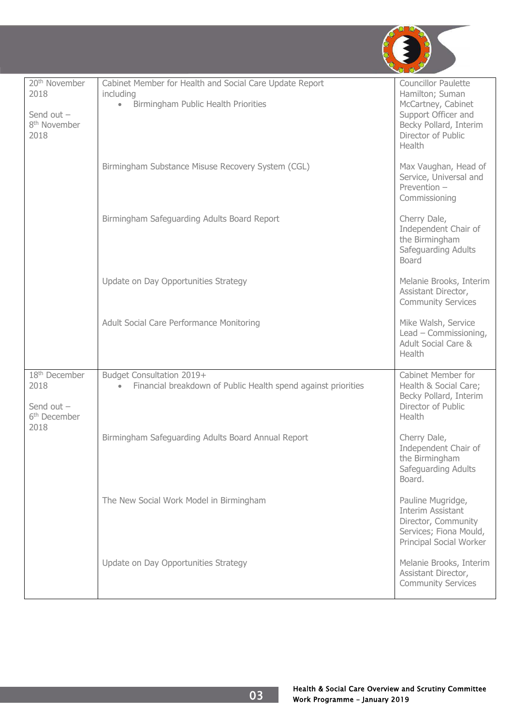

| 20 <sup>th</sup> November<br>2018<br>Send out $-$<br>8 <sup>th</sup> November<br>2018 | Cabinet Member for Health and Social Care Update Report<br>including<br>Birmingham Public Health Priorities<br>$\bullet$ | <b>Councillor Paulette</b><br>Hamilton; Suman<br>McCartney, Cabinet<br>Support Officer and<br>Becky Pollard, Interim<br>Director of Public<br>Health |
|---------------------------------------------------------------------------------------|--------------------------------------------------------------------------------------------------------------------------|------------------------------------------------------------------------------------------------------------------------------------------------------|
|                                                                                       | Birmingham Substance Misuse Recovery System (CGL)                                                                        | Max Vaughan, Head of<br>Service, Universal and<br>Prevention $-$<br>Commissioning                                                                    |
|                                                                                       | Birmingham Safeguarding Adults Board Report                                                                              | Cherry Dale,<br>Independent Chair of<br>the Birmingham<br>Safeguarding Adults<br><b>Board</b>                                                        |
|                                                                                       | Update on Day Opportunities Strategy                                                                                     | Melanie Brooks, Interim<br>Assistant Director,<br><b>Community Services</b>                                                                          |
|                                                                                       | Adult Social Care Performance Monitoring                                                                                 | Mike Walsh, Service<br>Lead - Commissioning,<br>Adult Social Care &<br>Health                                                                        |
| 18 <sup>th</sup> December<br>2018<br>Send out $-$<br>6 <sup>th</sup> December<br>2018 | Budget Consultation 2019+<br>Financial breakdown of Public Health spend against priorities                               | Cabinet Member for<br>Health & Social Care;<br>Becky Pollard, Interim<br>Director of Public<br>Health                                                |
|                                                                                       | Birmingham Safeguarding Adults Board Annual Report                                                                       | Cherry Dale,<br>Independent Chair of<br>the Birmingham<br>Safeguarding Adults<br>Board.                                                              |
|                                                                                       | The New Social Work Model in Birmingham                                                                                  | Pauline Mugridge,<br>Interim Assistant<br>Director, Community<br>Services; Fiona Mould,<br>Principal Social Worker                                   |
|                                                                                       | Update on Day Opportunities Strategy                                                                                     | Melanie Brooks, Interim<br>Assistant Director,<br><b>Community Services</b>                                                                          |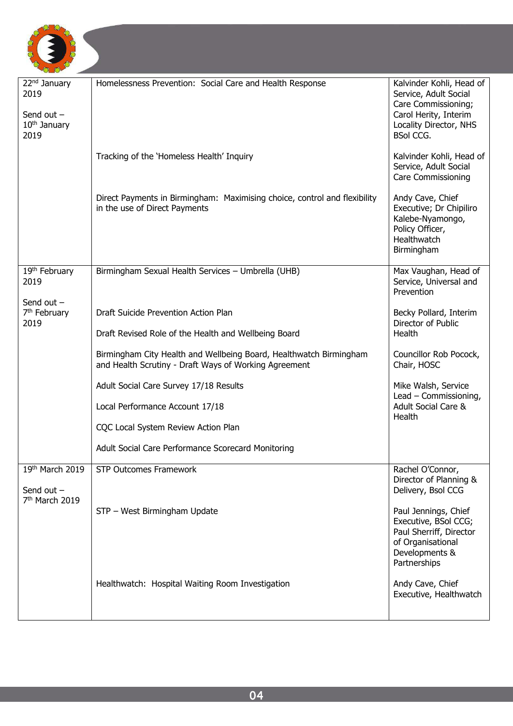

| 22 <sup>nd</sup> January<br>2019<br>Send out $-$<br>10 <sup>th</sup> January<br>2019 | Homelessness Prevention: Social Care and Health Response                                                                    | Kalvinder Kohli, Head of<br>Service, Adult Social<br>Care Commissioning;<br>Carol Herity, Interim<br>Locality Director, NHS<br><b>BSol CCG.</b> |
|--------------------------------------------------------------------------------------|-----------------------------------------------------------------------------------------------------------------------------|-------------------------------------------------------------------------------------------------------------------------------------------------|
|                                                                                      | Tracking of the 'Homeless Health' Inquiry                                                                                   | Kalvinder Kohli, Head of<br>Service, Adult Social<br><b>Care Commissioning</b>                                                                  |
|                                                                                      | Direct Payments in Birmingham: Maximising choice, control and flexibility<br>in the use of Direct Payments                  | Andy Cave, Chief<br>Executive; Dr Chipiliro<br>Kalebe-Nyamongo,<br>Policy Officer,<br>Healthwatch<br>Birmingham                                 |
| 19th February<br>2019                                                                | Birmingham Sexual Health Services - Umbrella (UHB)                                                                          | Max Vaughan, Head of<br>Service, Universal and<br>Prevention                                                                                    |
| Send out $-$<br>7 <sup>th</sup> February<br>2019                                     | Draft Suicide Prevention Action Plan<br>Draft Revised Role of the Health and Wellbeing Board                                | Becky Pollard, Interim<br>Director of Public<br>Health                                                                                          |
|                                                                                      | Birmingham City Health and Wellbeing Board, Healthwatch Birmingham<br>and Health Scrutiny - Draft Ways of Working Agreement | Councillor Rob Pocock,<br>Chair, HOSC                                                                                                           |
|                                                                                      | Adult Social Care Survey 17/18 Results                                                                                      | Mike Walsh, Service                                                                                                                             |
|                                                                                      | Local Performance Account 17/18                                                                                             | Lead - Commissioning,<br><b>Adult Social Care &amp;</b><br>Health                                                                               |
|                                                                                      | CQC Local System Review Action Plan                                                                                         |                                                                                                                                                 |
|                                                                                      | Adult Social Care Performance Scorecard Monitoring                                                                          |                                                                                                                                                 |
| 19th March 2019<br>Send out -<br>7 <sup>th</sup> March 2019                          | <b>STP Outcomes Framework</b>                                                                                               | Rachel O'Connor,<br>Director of Planning &<br>Delivery, Bsol CCG                                                                                |
|                                                                                      | STP - West Birmingham Update                                                                                                | Paul Jennings, Chief<br>Executive, BSol CCG;<br>Paul Sherriff, Director<br>of Organisational<br>Developments &<br>Partnerships                  |
|                                                                                      | Healthwatch: Hospital Waiting Room Investigation                                                                            | Andy Cave, Chief<br>Executive, Healthwatch                                                                                                      |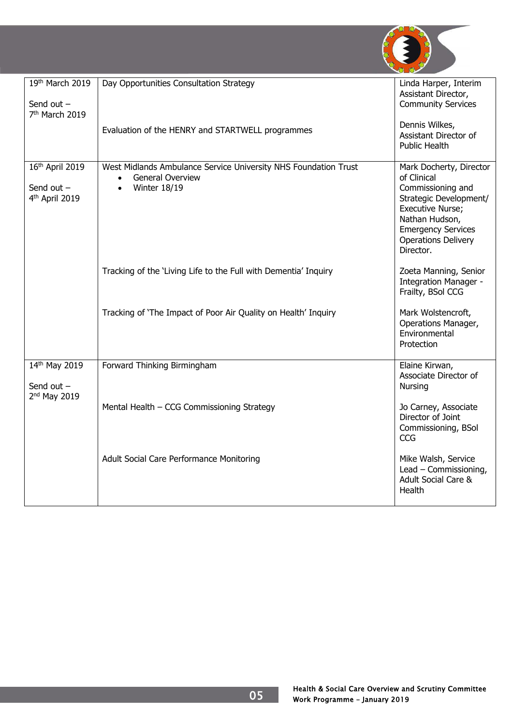

| 19th March 2019<br>Send out $-$<br>7 <sup>th</sup> March 2019 | Day Opportunities Consultation Strategy                                                                                        | Linda Harper, Interim<br>Assistant Director,<br><b>Community Services</b>                                                                                                                           |
|---------------------------------------------------------------|--------------------------------------------------------------------------------------------------------------------------------|-----------------------------------------------------------------------------------------------------------------------------------------------------------------------------------------------------|
|                                                               | Evaluation of the HENRY and STARTWELL programmes                                                                               | Dennis Wilkes,<br>Assistant Director of<br><b>Public Health</b>                                                                                                                                     |
| 16th April 2019<br>Send out $-$<br>4th April 2019             | West Midlands Ambulance Service University NHS Foundation Trust<br><b>General Overview</b><br><b>Winter 18/19</b><br>$\bullet$ | Mark Docherty, Director<br>of Clinical<br>Commissioning and<br>Strategic Development/<br>Executive Nurse;<br>Nathan Hudson,<br><b>Emergency Services</b><br><b>Operations Delivery</b><br>Director. |
|                                                               | Tracking of the 'Living Life to the Full with Dementia' Inquiry                                                                | Zoeta Manning, Senior<br>Integration Manager -<br>Frailty, BSol CCG                                                                                                                                 |
|                                                               | Tracking of 'The Impact of Poor Air Quality on Health' Inquiry                                                                 | Mark Wolstencroft,<br>Operations Manager,<br>Environmental<br>Protection                                                                                                                            |
| 14th May 2019<br>Send out $-$<br>2 <sup>nd</sup> May 2019     | Forward Thinking Birmingham                                                                                                    | Elaine Kirwan,<br>Associate Director of<br><b>Nursing</b>                                                                                                                                           |
|                                                               | Mental Health - CCG Commissioning Strategy                                                                                     | Jo Carney, Associate<br>Director of Joint<br>Commissioning, BSol<br><b>CCG</b>                                                                                                                      |
|                                                               | Adult Social Care Performance Monitoring                                                                                       | Mike Walsh, Service<br>Lead - Commissioning,<br><b>Adult Social Care &amp;</b><br>Health                                                                                                            |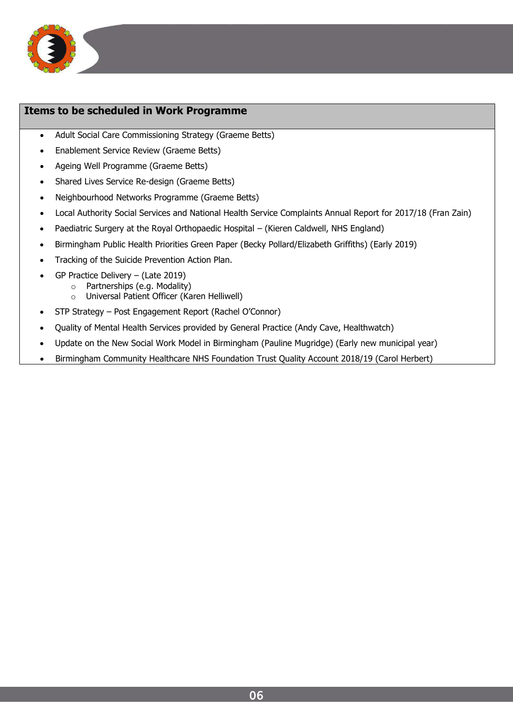

#### **Items to be scheduled in Work Programme**

- Adult Social Care Commissioning Strategy (Graeme Betts)
- Enablement Service Review (Graeme Betts)
- Ageing Well Programme (Graeme Betts)
- Shared Lives Service Re-design (Graeme Betts)
- Neighbourhood Networks Programme (Graeme Betts)
- Local Authority Social Services and National Health Service Complaints Annual Report for 2017/18 (Fran Zain)
- Paediatric Surgery at the Royal Orthopaedic Hospital (Kieren Caldwell, NHS England)
- Birmingham Public Health Priorities Green Paper (Becky Pollard/Elizabeth Griffiths) (Early 2019)
- Tracking of the Suicide Prevention Action Plan.
- GP Practice Delivery (Late 2019)
	- o Partnerships (e.g. Modality)
		- o Universal Patient Officer (Karen Helliwell)
- STP Strategy Post Engagement Report (Rachel O'Connor)
- Quality of Mental Health Services provided by General Practice (Andy Cave, Healthwatch)
- Update on the New Social Work Model in Birmingham (Pauline Mugridge) (Early new municipal year)
- Birmingham Community Healthcare NHS Foundation Trust Quality Account 2018/19 (Carol Herbert)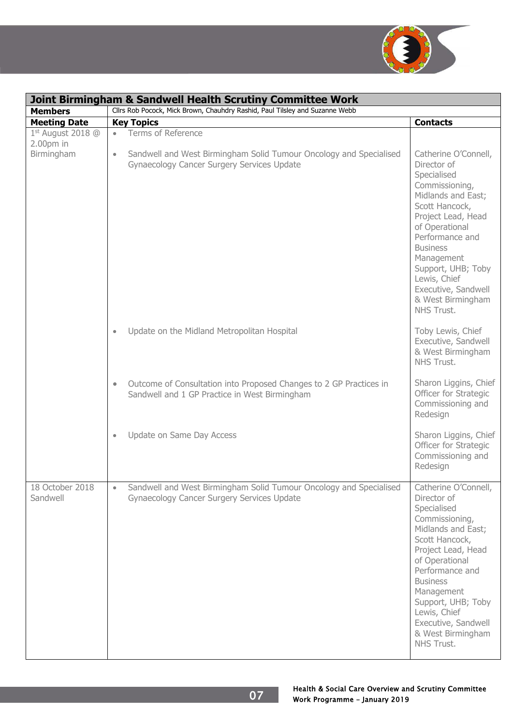

| <b>Joint Birmingham &amp; Sandwell Health Scrutiny Committee Work</b> |                                                                                                                                  |                                                                                                                                                                                                                                                                                                          |
|-----------------------------------------------------------------------|----------------------------------------------------------------------------------------------------------------------------------|----------------------------------------------------------------------------------------------------------------------------------------------------------------------------------------------------------------------------------------------------------------------------------------------------------|
| <b>Members</b>                                                        | Cllrs Rob Pocock, Mick Brown, Chauhdry Rashid, Paul Tilsley and Suzanne Webb                                                     |                                                                                                                                                                                                                                                                                                          |
| <b>Meeting Date</b>                                                   | <b>Key Topics</b>                                                                                                                | <b>Contacts</b>                                                                                                                                                                                                                                                                                          |
| $1st$ August 2018 @<br>$2.00pm$ in                                    | <b>Terms of Reference</b><br>$\bullet$                                                                                           |                                                                                                                                                                                                                                                                                                          |
| Birmingham                                                            | Sandwell and West Birmingham Solid Tumour Oncology and Specialised<br>$\bullet$<br>Gynaecology Cancer Surgery Services Update    | Catherine O'Connell,<br>Director of<br>Specialised<br>Commissioning,<br>Midlands and East;<br>Scott Hancock,<br>Project Lead, Head<br>of Operational<br>Performance and<br><b>Business</b><br>Management<br>Support, UHB; Toby<br>Lewis, Chief<br>Executive, Sandwell<br>& West Birmingham<br>NHS Trust. |
|                                                                       | Update on the Midland Metropolitan Hospital<br>$\bullet$                                                                         | Toby Lewis, Chief<br>Executive, Sandwell<br>& West Birmingham<br>NHS Trust.                                                                                                                                                                                                                              |
|                                                                       | Outcome of Consultation into Proposed Changes to 2 GP Practices in<br>$\bullet$<br>Sandwell and 1 GP Practice in West Birmingham | Sharon Liggins, Chief<br>Officer for Strategic<br>Commissioning and<br>Redesign                                                                                                                                                                                                                          |
|                                                                       | Update on Same Day Access<br>$\bullet$                                                                                           | Sharon Liggins, Chief<br>Officer for Strategic<br>Commissioning and<br>Redesign                                                                                                                                                                                                                          |
| 18 October 2018<br>Sandwell                                           | Sandwell and West Birmingham Solid Tumour Oncology and Specialised<br>$\bullet$<br>Gynaecology Cancer Surgery Services Update    | Catherine O'Connell,<br>Director of<br>Specialised<br>Commissioning,<br>Midlands and East;<br>Scott Hancock,<br>Project Lead, Head<br>of Operational<br>Performance and<br><b>Business</b><br>Management<br>Support, UHB; Toby<br>Lewis, Chief<br>Executive, Sandwell<br>& West Birmingham<br>NHS Trust. |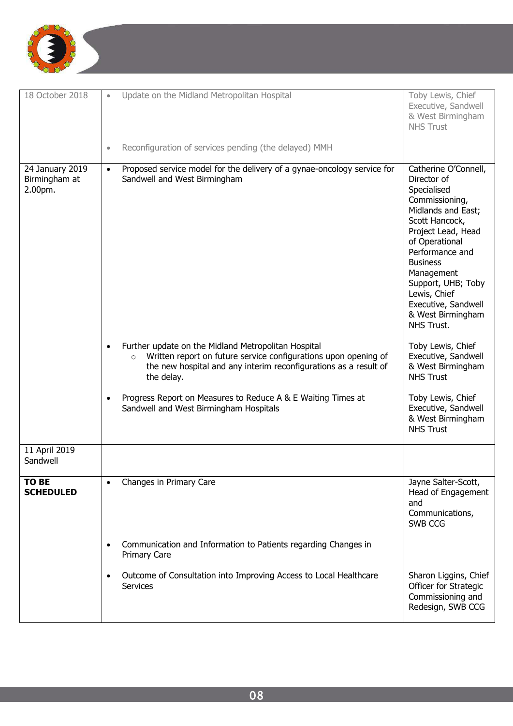

| 18 October 2018                             | Update on the Midland Metropolitan Hospital                                                                                                                                                                         | Toby Lewis, Chief<br>Executive, Sandwell<br>& West Birmingham<br><b>NHS Trust</b>                                                                                                                                                                                                                        |
|---------------------------------------------|---------------------------------------------------------------------------------------------------------------------------------------------------------------------------------------------------------------------|----------------------------------------------------------------------------------------------------------------------------------------------------------------------------------------------------------------------------------------------------------------------------------------------------------|
|                                             | Reconfiguration of services pending (the delayed) MMH<br>$\bullet$                                                                                                                                                  |                                                                                                                                                                                                                                                                                                          |
| 24 January 2019<br>Birmingham at<br>2.00pm. | Proposed service model for the delivery of a gynae-oncology service for<br>$\bullet$<br>Sandwell and West Birmingham                                                                                                | Catherine O'Connell,<br>Director of<br>Specialised<br>Commissioning,<br>Midlands and East;<br>Scott Hancock,<br>Project Lead, Head<br>of Operational<br>Performance and<br><b>Business</b><br>Management<br>Support, UHB; Toby<br>Lewis, Chief<br>Executive, Sandwell<br>& West Birmingham<br>NHS Trust. |
|                                             | Further update on the Midland Metropolitan Hospital<br>Written report on future service configurations upon opening of<br>$\circ$<br>the new hospital and any interim reconfigurations as a result of<br>the delay. | Toby Lewis, Chief<br>Executive, Sandwell<br>& West Birmingham<br><b>NHS Trust</b>                                                                                                                                                                                                                        |
|                                             | Progress Report on Measures to Reduce A & E Waiting Times at<br>Sandwell and West Birmingham Hospitals                                                                                                              | Toby Lewis, Chief<br>Executive, Sandwell<br>& West Birmingham<br><b>NHS Trust</b>                                                                                                                                                                                                                        |
| 11 April 2019<br>Sandwell                   |                                                                                                                                                                                                                     |                                                                                                                                                                                                                                                                                                          |
| <b>TO BE</b><br><b>SCHEDULED</b>            | Changes in Primary Care                                                                                                                                                                                             | Jayne Salter-Scott,<br>Head of Engagement<br>and<br>Communications,<br>SWB CCG                                                                                                                                                                                                                           |
|                                             | Communication and Information to Patients regarding Changes in<br><b>Primary Care</b>                                                                                                                               |                                                                                                                                                                                                                                                                                                          |
|                                             | Outcome of Consultation into Improving Access to Local Healthcare<br><b>Services</b>                                                                                                                                | Sharon Liggins, Chief<br>Officer for Strategic<br>Commissioning and<br>Redesign, SWB CCG                                                                                                                                                                                                                 |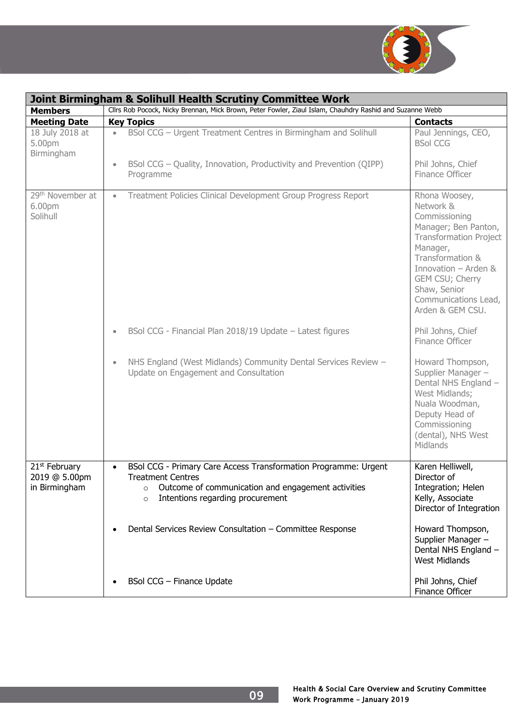

|                                                             | <b>Joint Birmingham &amp; Solihull Health Scrutiny Committee Work</b>                                                                                                                                                    |                                                                                                                                                                                                                                             |  |
|-------------------------------------------------------------|--------------------------------------------------------------------------------------------------------------------------------------------------------------------------------------------------------------------------|---------------------------------------------------------------------------------------------------------------------------------------------------------------------------------------------------------------------------------------------|--|
| <b>Members</b>                                              | Cllrs Rob Pocock, Nicky Brennan, Mick Brown, Peter Fowler, Ziaul Islam, Chauhdry Rashid and Suzanne Webb                                                                                                                 |                                                                                                                                                                                                                                             |  |
| <b>Meeting Date</b>                                         | <b>Key Topics</b>                                                                                                                                                                                                        | <b>Contacts</b>                                                                                                                                                                                                                             |  |
| 18 July 2018 at<br>5.00pm<br>Birmingham                     | BSol CCG - Urgent Treatment Centres in Birmingham and Solihull<br>BSol CCG – Quality, Innovation, Productivity and Prevention (QIPP)<br>$\bullet$<br>Programme                                                           | Paul Jennings, CEO,<br><b>BSol CCG</b><br>Phil Johns, Chief<br>Finance Officer                                                                                                                                                              |  |
|                                                             |                                                                                                                                                                                                                          |                                                                                                                                                                                                                                             |  |
| 29 <sup>th</sup> November at<br>6.00pm<br>Solihull          | Treatment Policies Clinical Development Group Progress Report<br>$\bullet$                                                                                                                                               | Rhona Woosey,<br>Network &<br>Commissioning<br>Manager; Ben Panton,<br><b>Transformation Project</b><br>Manager,<br>Transformation &<br>Innovation - Arden &<br>GEM CSU; Cherry<br>Shaw, Senior<br>Communications Lead,<br>Arden & GEM CSU. |  |
|                                                             | BSol CCG - Financial Plan 2018/19 Update - Latest figures<br>$\bullet$                                                                                                                                                   | Phil Johns, Chief<br>Finance Officer                                                                                                                                                                                                        |  |
|                                                             | NHS England (West Midlands) Community Dental Services Review -<br>$\bullet$<br>Update on Engagement and Consultation                                                                                                     | Howard Thompson,<br>Supplier Manager -<br>Dental NHS England -<br>West Midlands;<br>Nuala Woodman,<br>Deputy Head of<br>Commissioning<br>(dental), NHS West<br>Midlands                                                                     |  |
| 21 <sup>st</sup> February<br>2019 @ 5.00pm<br>in Birmingham | BSol CCG - Primary Care Access Transformation Programme: Urgent<br>$\bullet$<br><b>Treatment Centres</b><br>Outcome of communication and engagement activities<br>$\circ$<br>Intentions regarding procurement<br>$\circ$ | Karen Helliwell,<br>Director of<br>Integration; Helen<br>Kelly, Associate<br>Director of Integration                                                                                                                                        |  |
|                                                             | Dental Services Review Consultation - Committee Response                                                                                                                                                                 | Howard Thompson,<br>Supplier Manager -<br>Dental NHS England -<br><b>West Midlands</b>                                                                                                                                                      |  |
|                                                             | BSol CCG - Finance Update                                                                                                                                                                                                | Phil Johns, Chief<br>Finance Officer                                                                                                                                                                                                        |  |